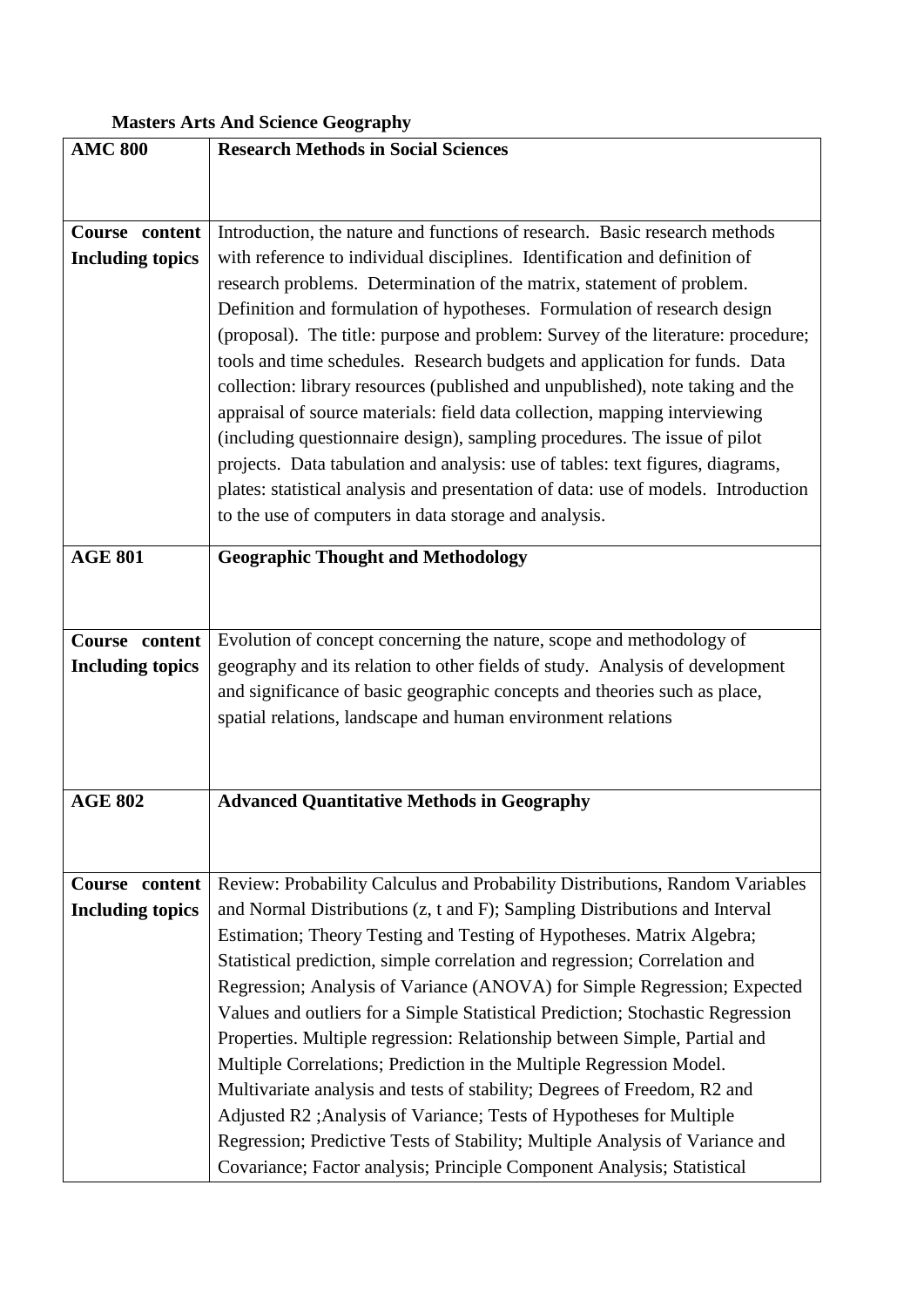| <b>Masters Arts And Science Geography</b> |                                                                                                                                                             |
|-------------------------------------------|-------------------------------------------------------------------------------------------------------------------------------------------------------------|
| <b>AMC 800</b>                            | <b>Research Methods in Social Sciences</b>                                                                                                                  |
|                                           |                                                                                                                                                             |
|                                           |                                                                                                                                                             |
| Course content                            | Introduction, the nature and functions of research. Basic research methods                                                                                  |
| <b>Including topics</b>                   | with reference to individual disciplines. Identification and definition of                                                                                  |
|                                           | research problems. Determination of the matrix, statement of problem.                                                                                       |
|                                           | Definition and formulation of hypotheses. Formulation of research design                                                                                    |
|                                           | (proposal). The title: purpose and problem: Survey of the literature: procedure;                                                                            |
|                                           | tools and time schedules. Research budgets and application for funds. Data                                                                                  |
|                                           | collection: library resources (published and unpublished), note taking and the                                                                              |
|                                           | appraisal of source materials: field data collection, mapping interviewing                                                                                  |
|                                           | (including questionnaire design), sampling procedures. The issue of pilot                                                                                   |
|                                           | projects. Data tabulation and analysis: use of tables: text figures, diagrams,                                                                              |
|                                           | plates: statistical analysis and presentation of data: use of models. Introduction                                                                          |
|                                           | to the use of computers in data storage and analysis.                                                                                                       |
| <b>AGE 801</b>                            | <b>Geographic Thought and Methodology</b>                                                                                                                   |
|                                           |                                                                                                                                                             |
|                                           |                                                                                                                                                             |
|                                           |                                                                                                                                                             |
| Course content                            | Evolution of concept concerning the nature, scope and methodology of                                                                                        |
| <b>Including topics</b>                   | geography and its relation to other fields of study. Analysis of development                                                                                |
|                                           | and significance of basic geographic concepts and theories such as place,                                                                                   |
|                                           | spatial relations, landscape and human environment relations                                                                                                |
|                                           |                                                                                                                                                             |
|                                           |                                                                                                                                                             |
| <b>AGE 802</b>                            | <b>Advanced Quantitative Methods in Geography</b>                                                                                                           |
|                                           |                                                                                                                                                             |
|                                           |                                                                                                                                                             |
| Course content                            | Review: Probability Calculus and Probability Distributions, Random Variables                                                                                |
| <b>Including topics</b>                   | and Normal Distributions (z, t and F); Sampling Distributions and Interval                                                                                  |
|                                           | Estimation; Theory Testing and Testing of Hypotheses. Matrix Algebra;                                                                                       |
|                                           | Statistical prediction, simple correlation and regression; Correlation and<br>Regression; Analysis of Variance (ANOVA) for Simple Regression; Expected      |
|                                           |                                                                                                                                                             |
|                                           | Values and outliers for a Simple Statistical Prediction; Stochastic Regression<br>Properties. Multiple regression: Relationship between Simple, Partial and |
|                                           | Multiple Correlations; Prediction in the Multiple Regression Model.                                                                                         |
|                                           | Multivariate analysis and tests of stability; Degrees of Freedom, R2 and                                                                                    |
|                                           | Adjusted R2 ; Analysis of Variance; Tests of Hypotheses for Multiple                                                                                        |
|                                           | Regression; Predictive Tests of Stability; Multiple Analysis of Variance and                                                                                |
|                                           | Covariance; Factor analysis; Principle Component Analysis; Statistical                                                                                      |
|                                           |                                                                                                                                                             |